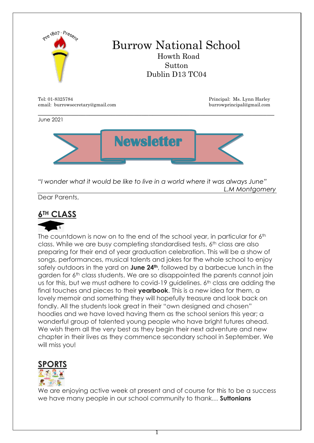

 $\_$  , and the contribution of the contribution of  $\mathcal{L}_1$  , and the contribution of  $\mathcal{L}_2$  , and  $\mathcal{L}_3$ 

email: burrowsecretary@gmail.com burrowprincipal@gmail.com

June 2021



*"I wonder what it would be like to live in a world where it was always June" L.M Montgomery*

Dear Parents,

## **6TH CLASS**



The countdown is now on to the end of the school year, in particular for 6th class. While we are busy completing standardised tests, 6<sup>th</sup> class are also preparing for their end of year graduation celebration. This will be a show of songs, performances, musical talents and jokes for the whole school to enjoy safely outdoors in the yard on **June 24th**, followed by a barbecue lunch in the garden for 6th class students. We are so disappointed the parents cannot join us for this, but we must adhere to covid-19 quidelines. 6<sup>th</sup> class are adding the final touches and pieces to their **yearbook**. This is a new idea for them, a lovely memoir and something they will hopefully treasure and look back on fondly. All the students look great in their "own designed and chosen" hoodies and we have loved having them as the school seniors this year; a wonderful group of talented young people who have bright futures ahead. We wish them all the very best as they begin their next adventure and new chapter in their lives as they commence secondary school in September. We will miss you!



We are enjoying active week at present and of course for this to be a success we have many people in our school community to thank… **Suttonians** 

1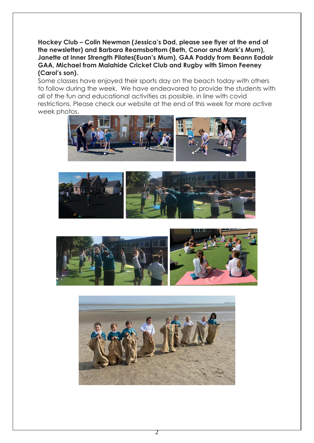**Hockey Club – Colin Newman (Jessica's Dad, please see flyer at the end of the newsletter) and Barbara Reamsbottom (Beth, Conor and Mark's Mum), Janette at Inner Strength Pilates(Euan's Mum), GAA Paddy from Beann Eadair GAA, Michael from Malahide Cricket Club and Rugby with Simon Feeney (Carol's son).**

Some classes have enjoyed their sports day on the beach today with others to follow during the week. We have endeavored to provide the students with all of the fun and educational activities as possible, in line with covid restrictions. Please check our website at the end of this week for more active week photos.







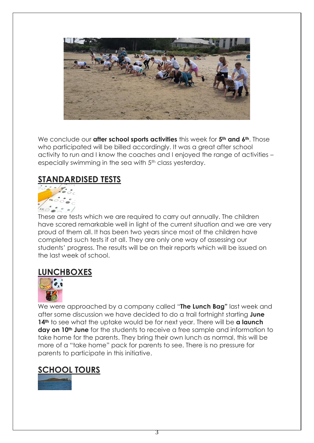

We conclude our **after school sports activities** this week for **5th and 6th**. Those who participated will be billed accordinaly. It was a great after school activity to run and I know the coaches and I enjoyed the range of activities – especially swimming in the sea with 5<sup>th</sup> class yesterday.

## **STANDARDISED TESTS**



These are tests which we are required to carry out annually. The children have scored remarkable well in light of the current situation and we are very proud of them all. It has been two years since most of the children have completed such tests if at all. They are only one way of assessing our students' progress. The results will be on their reports which will be issued on the last week of school.

#### **LUNCHBOXES**



We were approached by a company called "**The Lunch Bag"** last week and after some discussion we have decided to do a trail fortnight starting **June 14th** to see what the uptake would be for next year. There will be **a launch day on 10th June** for the students to receive a free sample and information to take home for the parents. They bring their own lunch as normal, this will be more of a "take home" pack for parents to see. There is no pressure for parents to participate in this initiative.

## **SCHOOL TOURS**

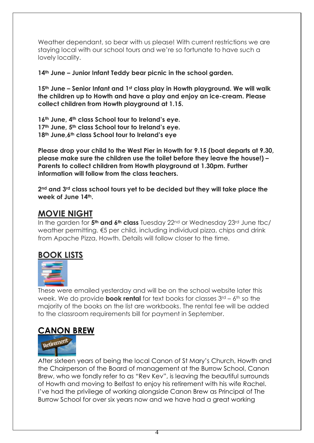Weather dependant, so bear with us please! With current restrictions we are staying local with our school tours and we're so fortunate to have such a lovely locality.

**14th June – Junior Infant Teddy bear picnic in the school garden.**

**15th June – Senior Infant and 1st class play in Howth playground. We will walk the children up to Howth and have a play and enjoy an ice-cream. Please collect children from Howth playground at 1.15.**

**16th June, 4th class School tour to Ireland's eye. 17th June, 5th class School tour to Ireland's eye. 18th June,6th class School tour to Ireland's eye**

**Please drop your child to the West Pier in Howth for 9.15 (boat departs at 9.30, please make sure the children use the toilet before they leave the house!) – Parents to collect children from Howth playground at 1.30pm. Further information will follow from the class teachers.**

**2nd and 3rd class school tours yet to be decided but they will take place the week of June 14th.**

# **MOVIE NIGHT**

In the garden for **5th and 6th class** Tuesday 22nd or Wednesday 23rd June tbc/ weather permitting. €5 per child, including individual pizza, chips and drink from Apache Pizza, Howth. Details will follow closer to the time.

# **BOOK LISTS**



These were emailed yesterday and will be on the school website later this week. We do provide **book rental** for text books for classes  $3^{rd}$  – 6<sup>th</sup> so the majority of the books on the list are workbooks. The rental fee will be added to the classroom requirements bill for payment in September.

# **CANON BREW**



After sixteen years of being the local Canon of St Mary's Church, Howth and the Chairperson of the Board of management at the Burrow School, Canon Brew, who we fondly refer to as "Rev Kev", is leaving the beautiful surrounds of Howth and moving to Belfast to enjoy his retirement with his wife Rachel. I've had the privilege of working alongside Canon Brew as Principal of The Burrow School for over six years now and we have had a great working